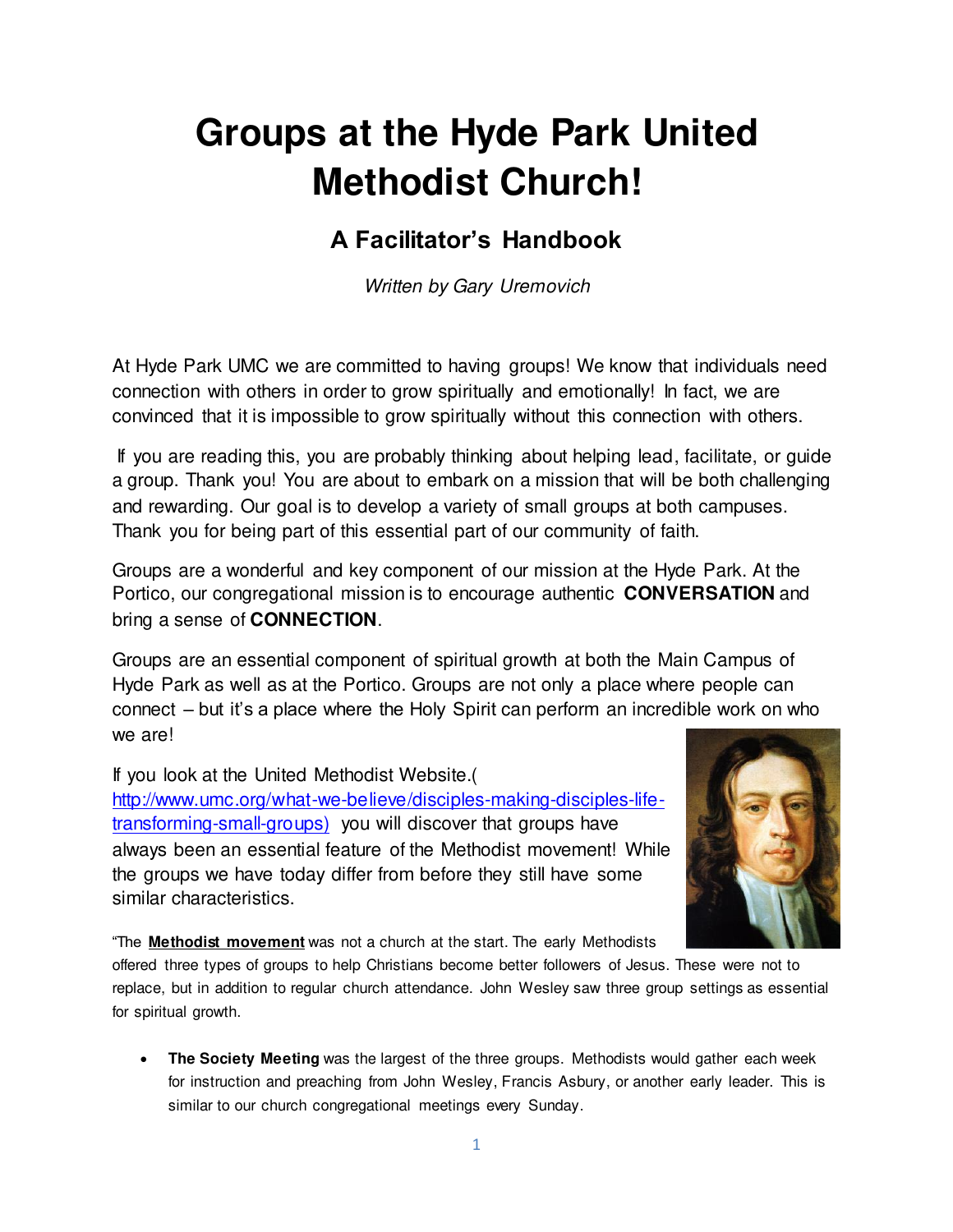# **Groups at the Hyde Park United Methodist Church!**

# **A Facilitator's Handbook**

Written by Gary Uremovich

At Hyde Park UMC we are committed to having groups! We know that individuals need connection with others in order to grow spiritually and emotionally! In fact, we are convinced that it is impossible to grow spiritually without this connection with others.

 If you are reading this, you are probably thinking about helping lead, facilitate, or guide a group. Thank you! You are about to embark on a mission that will be both challenging and rewarding. Our goal is to develop a variety of small groups at both campuses. Thank you for being part of this essential part of our community of faith.

Groups are a wonderful and key component of our mission at the Hyde Park. At the Portico, our congregational mission is to encourage authentic **CONVERSATION** and bring a sense of **CONNECTION**.

Groups are an essential component of spiritual growth at both the Main Campus of Hyde Park as well as at the Portico. Groups are not only a place where people can connect – but it's a place where the Holy Spirit can perform an incredible work on who we are!

If you look at the United Methodist Website.( [http://www.umc.org/what-we-believe/disciples-making-disciples-life](http://www.umc.org/what-we-believe/disciples-making-disciples-life-transforming-small-groups))[transforming-small-groups\)](http://www.umc.org/what-we-believe/disciples-making-disciples-life-transforming-small-groups)) you will discover that groups have always been an essential feature of the Methodist movement! While the groups we have today differ from before they still have some similar characteristics.



"The **[Methodist movement](http://www.umc.org/what-we-believe/our-wesleyan-heritage)** was not a church at the start. The early Methodists

offered three types of groups to help Christians become better followers of Jesus. These were not to replace, but in addition to regular church attendance. John Wesley saw three group settings as essential for spiritual growth.

 **The Society Meeting** was the largest of the three groups. Methodists would gather each week for instruction and preaching from John Wesley, Francis Asbury, or another early leader. This is similar to our church congregational meetings every Sunday.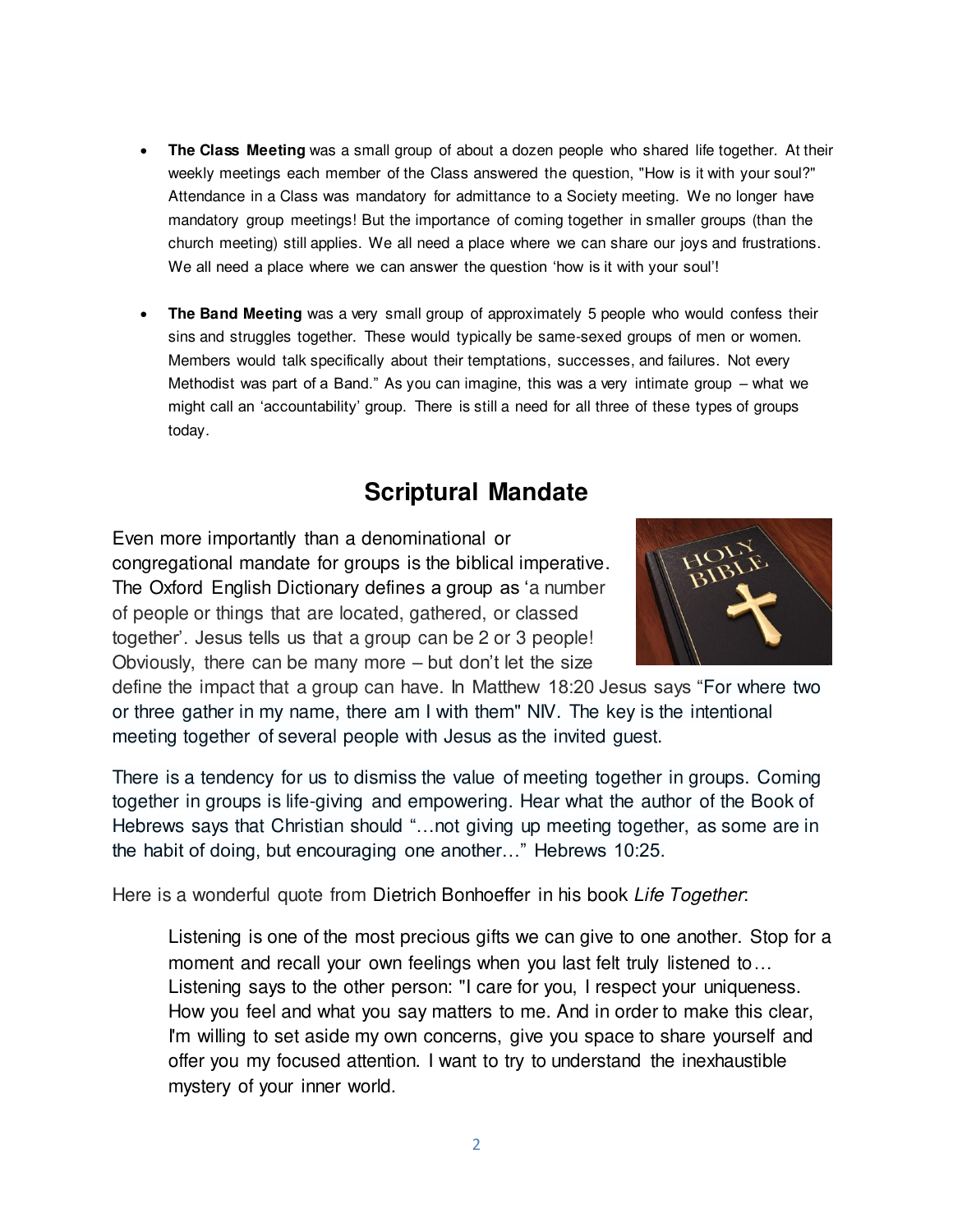- **The Class Meeting** was a small group of about a dozen people who shared life together. At their weekly meetings each member of the Class answered the question, "How is it with your soul?" Attendance in a Class was mandatory for admittance to a Society meeting. We no longer have mandatory group meetings! But the importance of coming together in smaller groups (than the church meeting) still applies. We all need a place where we can share our joys and frustrations. We all need a place where we can answer the question 'how is it with your soul'!
- **The Band Meeting** was a very small group of approximately 5 people who would confess their sins and struggles together. These would typically be same-sexed groups of men or women. Members would talk specifically about their temptations, successes, and failures. Not every Methodist was part of a Band." As you can imagine, this was a very intimate group – what we might call an 'accountability' group. There is still a need for all three of these types of groups today.

### **Scriptural Mandate**

Even more importantly than a denominational or congregational mandate for groups is the biblical imperative. The Oxford English Dictionary defines a group as 'a number of people or things that are located, gathered, or classed together'. Jesus tells us that a group can be 2 or 3 people! Obviously, there can be many more – but don't let the size



define the impact that a group can have. In Matthew 18:20 Jesus says "For where two or three gather in my name, there am I with them" NIV. The key is the intentional meeting together of several people with Jesus as the invited guest.

There is a tendency for us to dismiss the value of meeting together in groups. Coming together in groups is life-giving and empowering. Hear what the author of the Book of Hebrews says that Christian should "…not giving up meeting together, as some are in the habit of doing, but encouraging one another…" Hebrews 10:25.

Here is a wonderful quote from Dietrich Bonhoeffer in his book Life Together:

Listening is one of the most precious gifts we can give to one another. Stop for a moment and recall your own feelings when you last felt truly listened to… Listening says to the other person: "I care for you, I respect your uniqueness. How you feel and what you say matters to me. And in order to make this clear, I'm willing to set aside my own concerns, give you space to share yourself and offer you my focused attention. I want to try to understand the inexhaustible mystery of your inner world.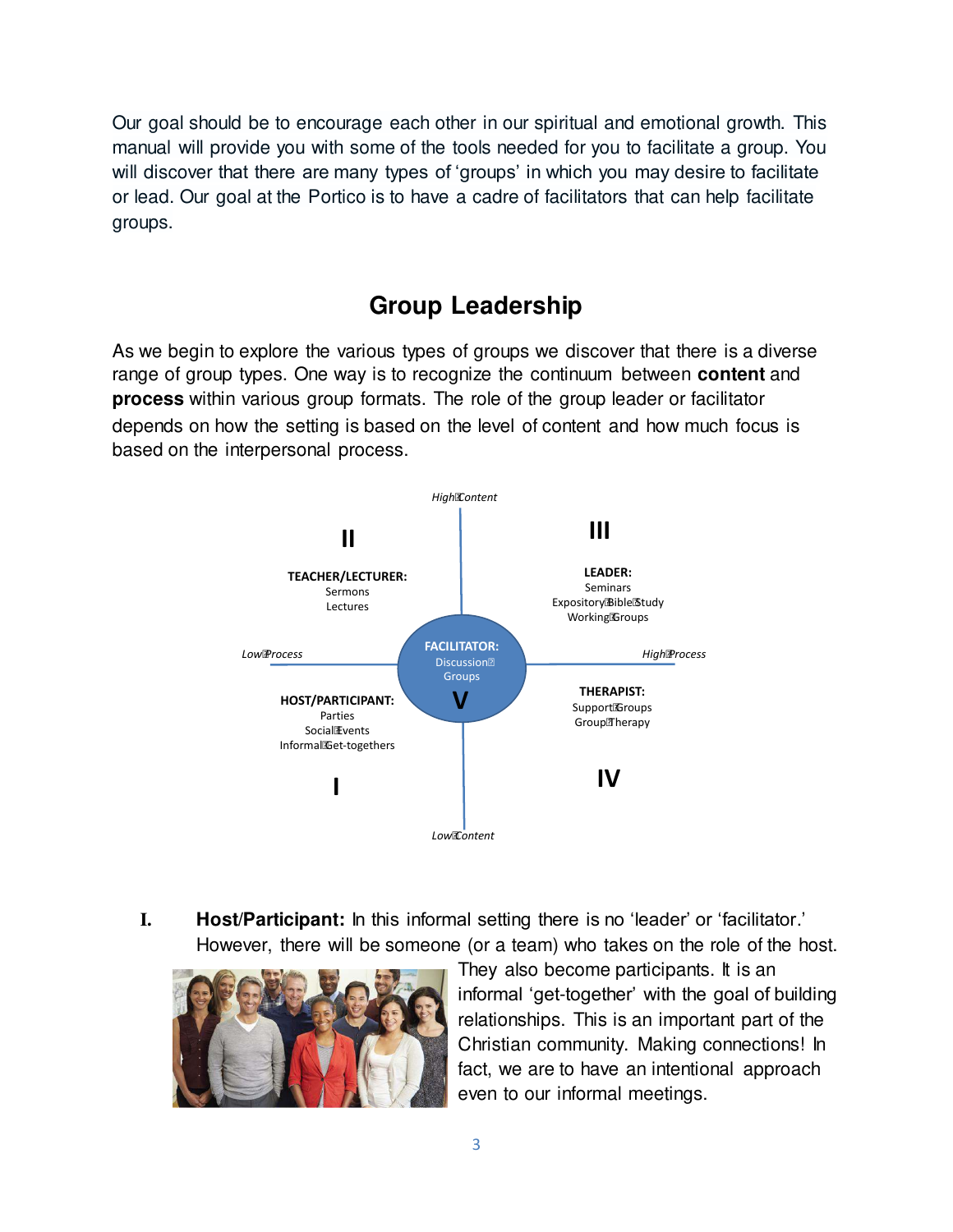Our goal should be to encourage each other in our spiritual and emotional growth. This manual will provide you with some of the tools needed for you to facilitate a group. You will discover that there are many types of 'groups' in which you may desire to facilitate or lead. Our goal at the Portico is to have a cadre of facilitators that can help facilitate groups.

# **Group Leadership**

As we begin to explore the various types of groups we discover that there is a diverse range of group types. One way is to recognize the continuum between **content** and **process** within various group formats. The role of the group leader or facilitator depends on how the setting is based on the level of content and how much focus is based on the interpersonal process.



**I. Host/Participant:** In this informal setting there is no 'leader' or 'facilitator.' However, there will be someone (or a team) who takes on the role of the host.



They also become participants. It is an informal 'get-together' with the goal of building relationships. This is an important part of the Christian community. Making connections! In fact, we are to have an intentional approach even to our informal meetings.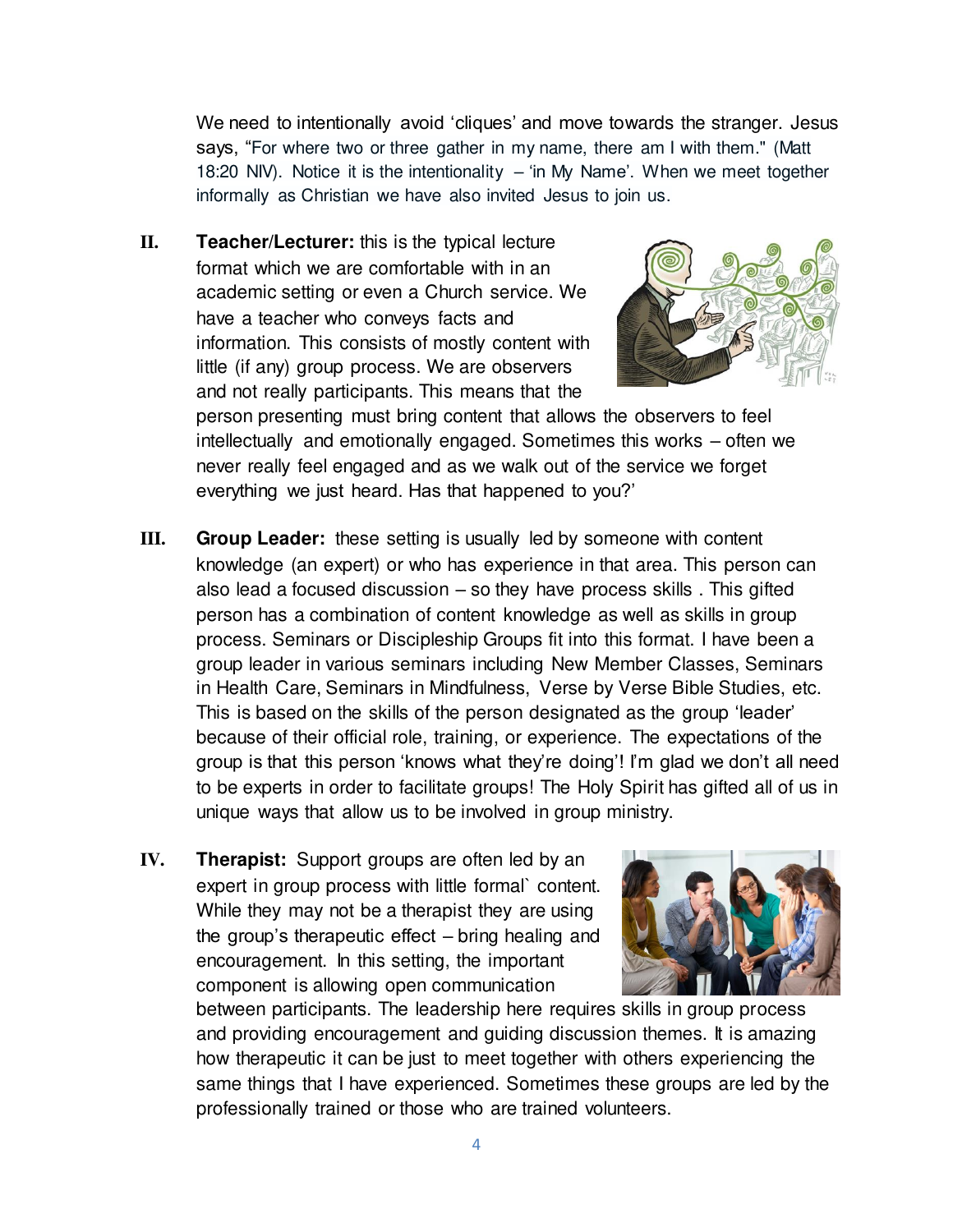We need to intentionally avoid 'cliques' and move towards the stranger. Jesus says, "For where two or three gather in my name, there am I with them." (Matt 18:20 NIV). Notice it is the intentionality – 'in My Name'. When we meet together informally as Christian we have also invited Jesus to join us.

**II. Teacher/Lecturer:** this is the typical lecture format which we are comfortable with in an academic setting or even a Church service. We have a teacher who conveys facts and information. This consists of mostly content with little (if any) group process. We are observers and not really participants. This means that the



person presenting must bring content that allows the observers to feel intellectually and emotionally engaged. Sometimes this works – often we never really feel engaged and as we walk out of the service we forget everything we just heard. Has that happened to you?'

- **III. Group Leader:** these setting is usually led by someone with content knowledge (an expert) or who has experience in that area. This person can also lead a focused discussion – so they have process skills . This gifted person has a combination of content knowledge as well as skills in group process. Seminars or Discipleship Groups fit into this format. I have been a group leader in various seminars including New Member Classes, Seminars in Health Care, Seminars in Mindfulness, Verse by Verse Bible Studies, etc. This is based on the skills of the person designated as the group 'leader' because of their official role, training, or experience. The expectations of the group is that this person 'knows what they're doing'! I'm glad we don't all need to be experts in order to facilitate groups! The Holy Spirit has gifted all of us in unique ways that allow us to be involved in group ministry.
- **IV. Therapist:** Support groups are often led by an expert in group process with little formal` content. While they may not be a therapist they are using the group's therapeutic effect – bring healing and encouragement. In this setting, the important component is allowing open communication



between participants. The leadership here requires skills in group process and providing encouragement and guiding discussion themes. It is amazing how therapeutic it can be just to meet together with others experiencing the same things that I have experienced. Sometimes these groups are led by the professionally trained or those who are trained volunteers.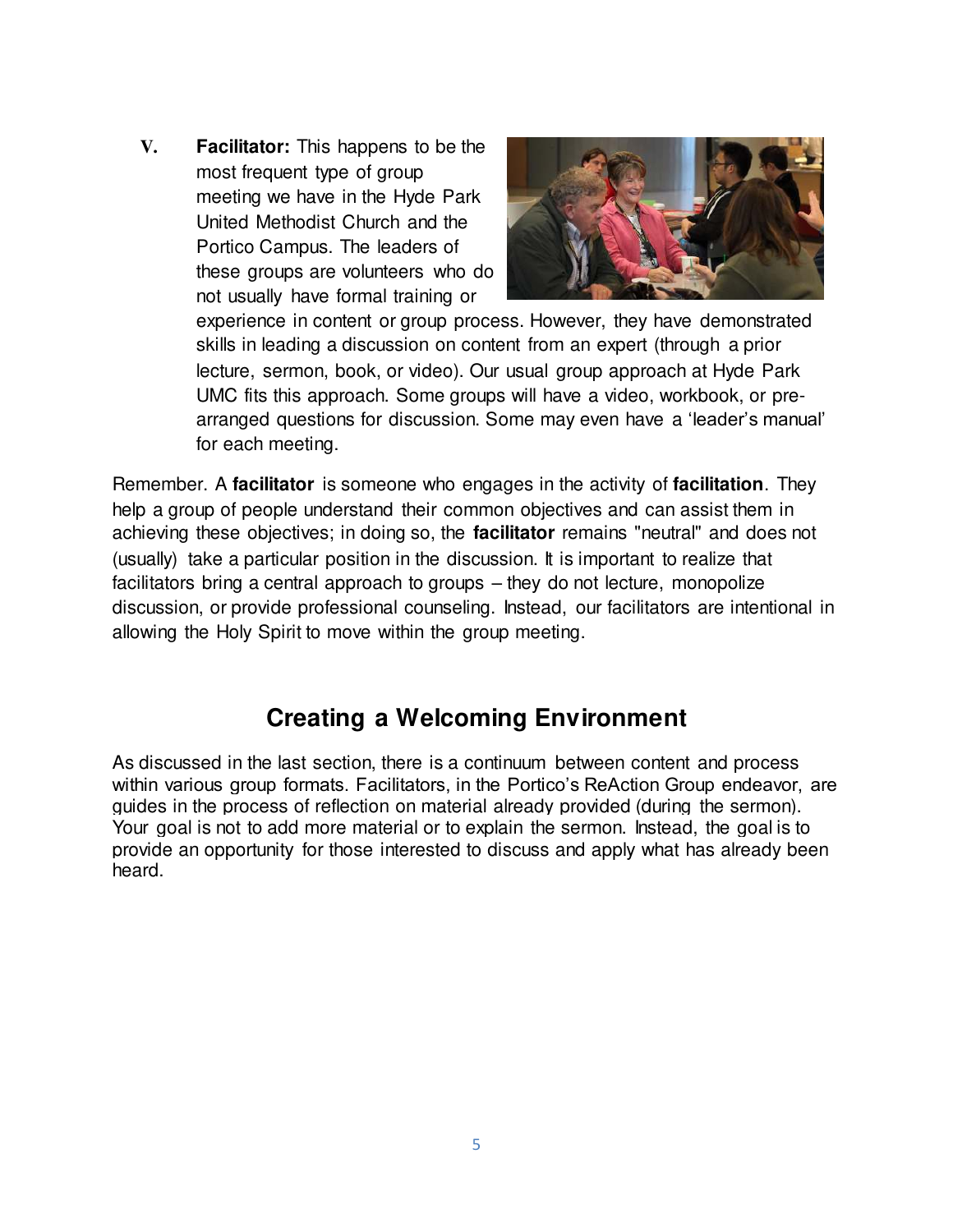**V. Facilitator:** This happens to be the most frequent type of group meeting we have in the Hyde Park United Methodist Church and the Portico Campus. The leaders of these groups are volunteers who do not usually have formal training or



experience in content or group process. However, they have demonstrated skills in leading a discussion on content from an expert (through a prior lecture, sermon, book, or video). Our usual group approach at Hyde Park UMC fits this approach. Some groups will have a video, workbook, or prearranged questions for discussion. Some may even have a 'leader's manual' for each meeting.

Remember. A **facilitator** is someone who engages in the activity of **facilitation**. They help a group of people understand their common objectives and can assist them in achieving these objectives; in doing so, the **facilitator** remains "neutral" and does not (usually) take a particular position in the discussion. It is important to realize that facilitators bring a central approach to groups – they do not lecture, monopolize discussion, or provide professional counseling. Instead, our facilitators are intentional in allowing the Holy Spirit to move within the group meeting.

### **Creating a Welcoming Environment**

As discussed in the last section, there is a continuum between content and process within various group formats. Facilitators, in the Portico's ReAction Group endeavor, are guides in the process of reflection on material already provided (during the sermon). Your goal is not to add more material or to explain the sermon. Instead, the goal is to provide an opportunity for those interested to discuss and apply what has already been heard.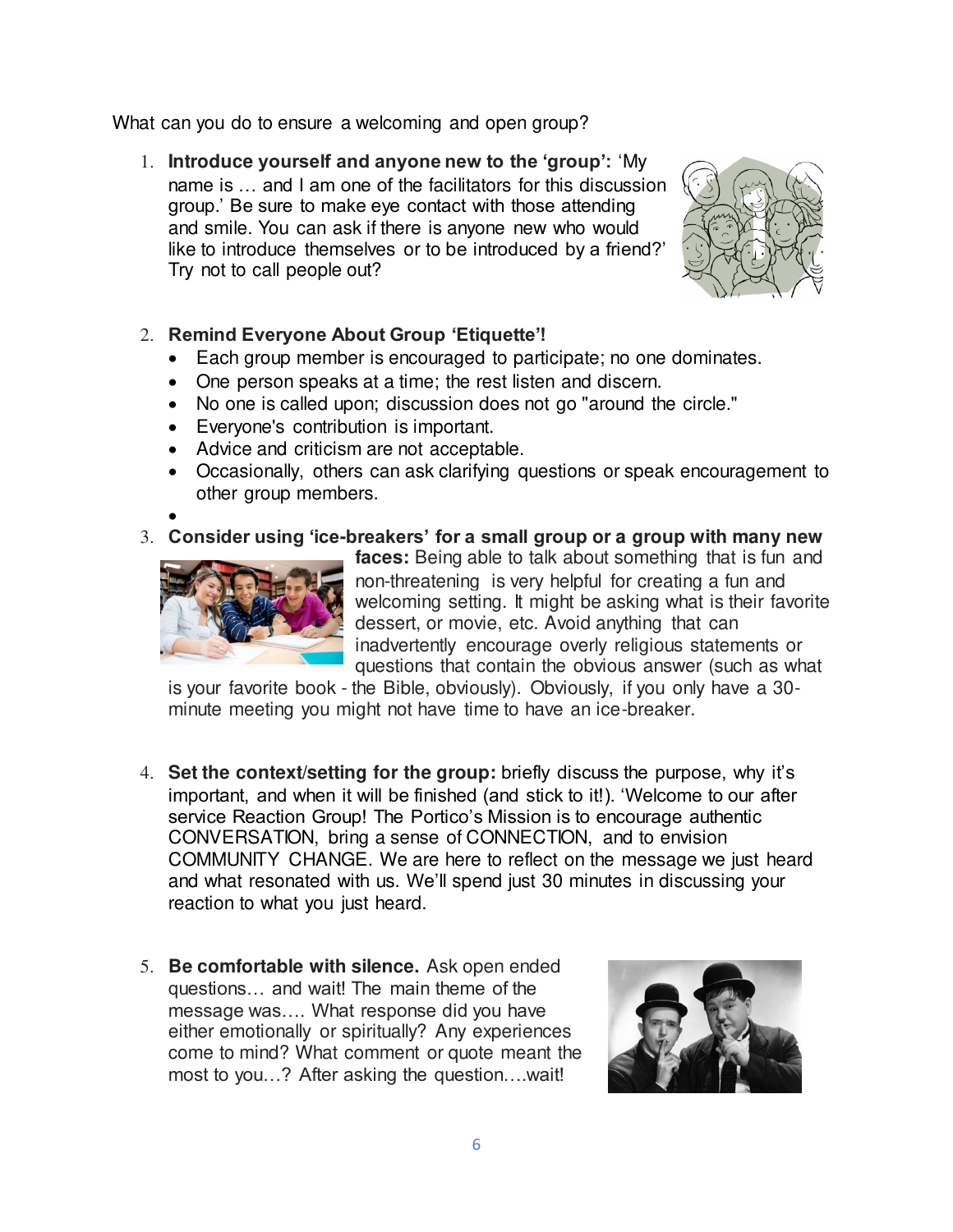What can you do to ensure a welcoming and open group?

1. **Introduce yourself and anyone new to the 'group':** 'My name is … and I am one of the facilitators for this discussion group.' Be sure to make eye contact with those attending and smile. You can ask if there is anyone new who would like to introduce themselves or to be introduced by a friend?' Try not to call people out?



#### 2. **Remind Everyone About Group 'Etiquette'!**

- Each group member is encouraged to participate; no one dominates.
- One person speaks at a time; the rest listen and discern.
- No one is called upon; discussion does not go "around the circle."
- Everyone's contribution is important.
- Advice and criticism are not acceptable.
- Occasionally, others can ask clarifying questions or speak encouragement to other group members.
- $\bullet$

#### 3. **Consider using 'ice-breakers' for a small group or a group with many new**



**faces:** Being able to talk about something that is fun and non-threatening is very helpful for creating a fun and welcoming setting. It might be asking what is their favorite dessert, or movie, etc. Avoid anything that can inadvertently encourage overly religious statements or questions that contain the obvious answer (such as what

is your favorite book - the Bible, obviously). Obviously, if you only have a 30 minute meeting you might not have time to have an ice-breaker.

- 4. **Set the context/setting for the group:** briefly discuss the purpose, why it's important, and when it will be finished (and stick to it!). 'Welcome to our after service Reaction Group! The Portico's Mission is to encourage authentic CONVERSATION, bring a sense of CONNECTION, and to envision COMMUNITY CHANGE. We are here to reflect on the message we just heard and what resonated with us. We'll spend just 30 minutes in discussing your reaction to what you just heard.
- 5. **Be comfortable with silence.** Ask open ended questions… and wait! The main theme of the message was…. What response did you have either emotionally or spiritually? Any experiences come to mind? What comment or quote meant the most to you…? After asking the question….wait!

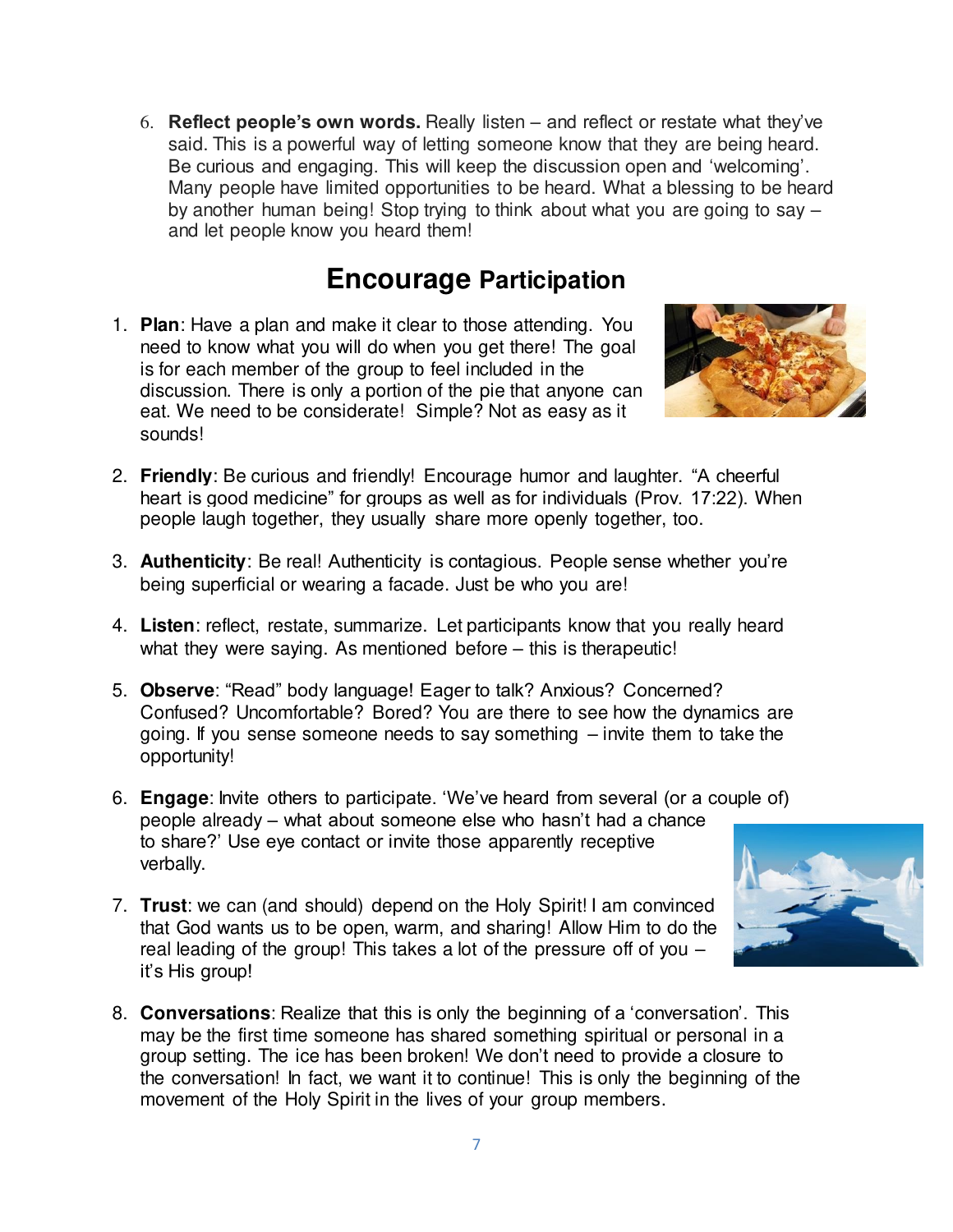6. **Reflect people's own words.** Really listen – and reflect or restate what they've said. This is a powerful way of letting someone know that they are being heard. Be curious and engaging. This will keep the discussion open and 'welcoming'. Many people have limited opportunities to be heard. What a blessing to be heard by another human being! Stop trying to think about what you are going to say – and let people know you heard them!

# **Encourage Participation**

1. **Plan**: Have a plan and make it clear to those attending. You need to know what you will do when you get there! The goal is for each member of the group to feel included in the discussion. There is only a portion of the pie that anyone can eat. We need to be considerate! Simple? Not as easy as it sounds!



- 2. **Friendly**: Be curious and friendly! Encourage humor and laughter. "A cheerful heart is good medicine" for groups as well as for individuals (Prov. 17:22). When people laugh together, they usually share more openly together, too.
- 3. **Authenticity**: Be real! Authenticity is contagious. People sense whether you're being superficial or wearing a facade. Just be who you are!
- 4. **Listen**: reflect, restate, summarize. Let participants know that you really heard what they were saying. As mentioned before – this is therapeutic!
- 5. **Observe**: "Read" body language! Eager to talk? Anxious? Concerned? Confused? Uncomfortable? Bored? You are there to see how the dynamics are going. If you sense someone needs to say something – invite them to take the opportunity!
- 6. **Engage**: Invite others to participate. 'We've heard from several (or a couple of) people already – what about someone else who hasn't had a chance to share?' Use eye contact or invite those apparently receptive verbally.
- 7. **Trust**: we can (and should) depend on the Holy Spirit! I am convinced that God wants us to be open, warm, and sharing! Allow Him to do the real leading of the group! This takes a lot of the pressure off of you – it's His group!
- 8. **Conversations**: Realize that this is only the beginning of a 'conversation'. This may be the first time someone has shared something spiritual or personal in a group setting. The ice has been broken! We don't need to provide a closure to the conversation! In fact, we want it to continue! This is only the beginning of the movement of the Holy Spirit in the lives of your group members.

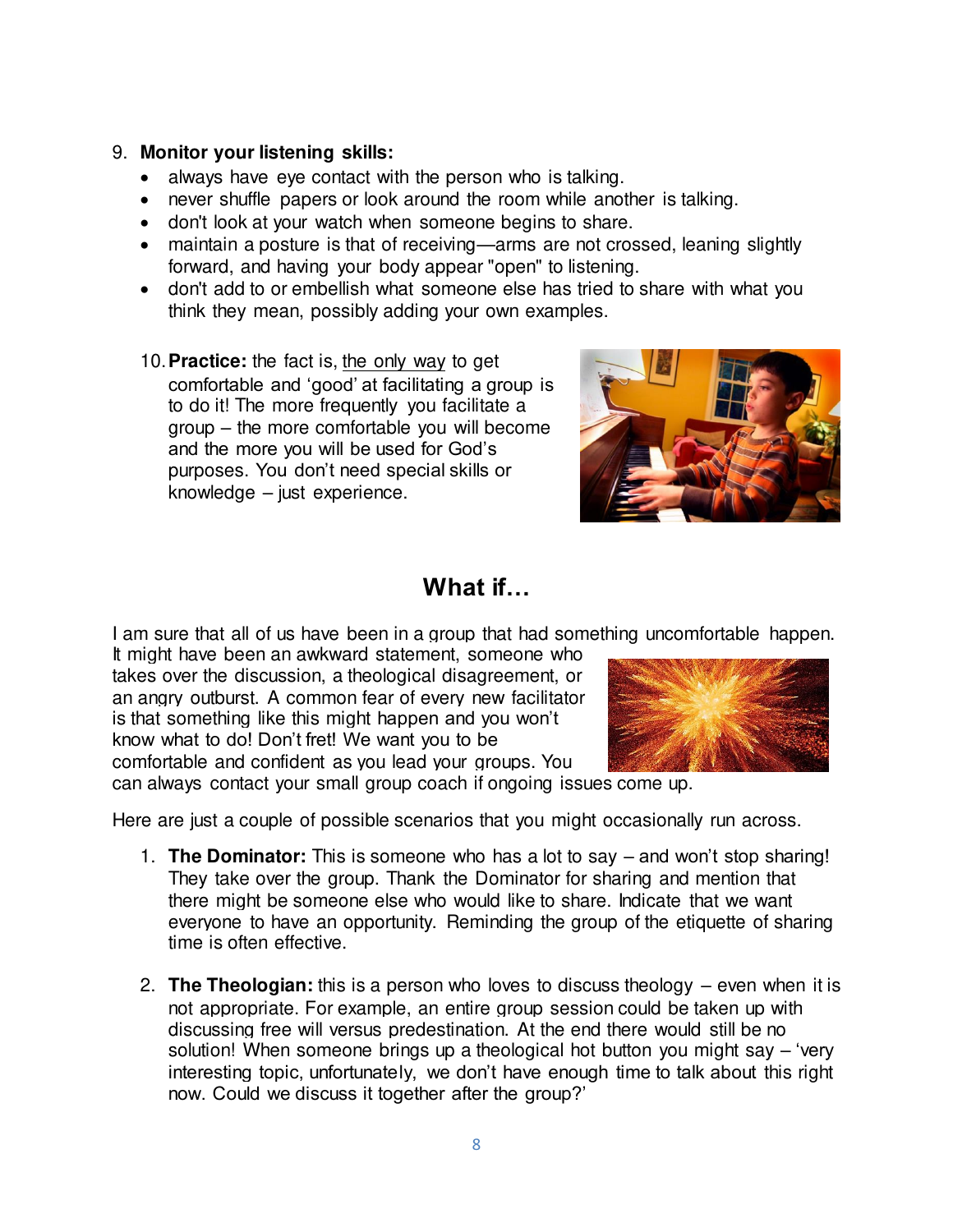#### 9. **Monitor your listening skills:**

- always have eye contact with the person who is talking.
- never shuffle papers or look around the room while another is talking.
- don't look at your watch when someone begins to share.
- maintain a posture is that of receiving—arms are not crossed, leaning slightly forward, and having your body appear "open" to listening.
- don't add to or embellish what someone else has tried to share with what you think they mean, possibly adding your own examples.
- 10.**Practice:** the fact is, the only way to get comfortable and 'good' at facilitating a group is to do it! The more frequently you facilitate a group – the more comfortable you will become and the more you will be used for God's purposes. You don't need special skills or knowledge – just experience.



## **What if…**

I am sure that all of us have been in a group that had something uncomfortable happen.

It might have been an awkward statement, someone who takes over the discussion, a theological disagreement, or an angry outburst. A common fear of every new facilitator is that something like this might happen and you won't know what to do! Don't fret! We want you to be comfortable and confident as you lead your groups. You

can always contact your small group coach if ongoing issues come up.

Here are just a couple of possible scenarios that you might occasionally run across.

- 1. **The Dominator:** This is someone who has a lot to say and won't stop sharing! They take over the group. Thank the Dominator for sharing and mention that there might be someone else who would like to share. Indicate that we want everyone to have an opportunity. Reminding the group of the etiquette of sharing time is often effective.
- 2. **The Theologian:** this is a person who loves to discuss theology even when it is not appropriate. For example, an entire group session could be taken up with discussing free will versus predestination. At the end there would still be no solution! When someone brings up a theological hot button you might say – 'very interesting topic, unfortunately, we don't have enough time to talk about this right now. Could we discuss it together after the group?'